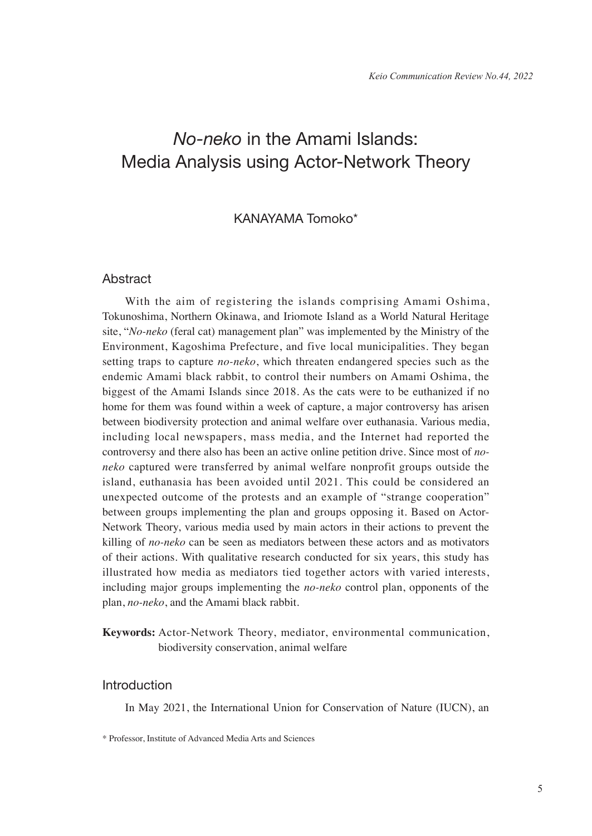# *No-neko* in the Amami Islands: Media Analysis using Actor-Network Theory

# KANAYAMA Tomoko\*

## **Abstract**

With the aim of registering the islands comprising Amami Oshima, Tokunoshima, Northern Okinawa, and Iriomote Island as a World Natural Heritage site, "*No-neko* (feral cat) management plan" was implemented by the Ministry of the Environment, Kagoshima Prefecture, and five local municipalities. They began setting traps to capture *no-neko*, which threaten endangered species such as the endemic Amami black rabbit, to control their numbers on Amami Oshima, the biggest of the Amami Islands since 2018. As the cats were to be euthanized if no home for them was found within a week of capture, a major controversy has arisen between biodiversity protection and animal welfare over euthanasia. Various media, including local newspapers, mass media, and the Internet had reported the controversy and there also has been an active online petition drive. Since most of *noneko* captured were transferred by animal welfare nonprofit groups outside the island, euthanasia has been avoided until 2021. This could be considered an unexpected outcome of the protests and an example of "strange cooperation" between groups implementing the plan and groups opposing it. Based on Actor-Network Theory, various media used by main actors in their actions to prevent the killing of *no-neko* can be seen as mediators between these actors and as motivators of their actions. With qualitative research conducted for six years, this study has illustrated how media as mediators tied together actors with varied interests, including major groups implementing the *no-neko* control plan, opponents of the plan, *no-neko*, and the Amami black rabbit.

**Keywords:** Actor-Network Theory, mediator, environmental communication, biodiversity conservation, animal welfare

## Introduction

In May 2021, the International Union for Conservation of Nature (IUCN), an

<sup>\*</sup> Professor, Institute of Advanced Media Arts and Sciences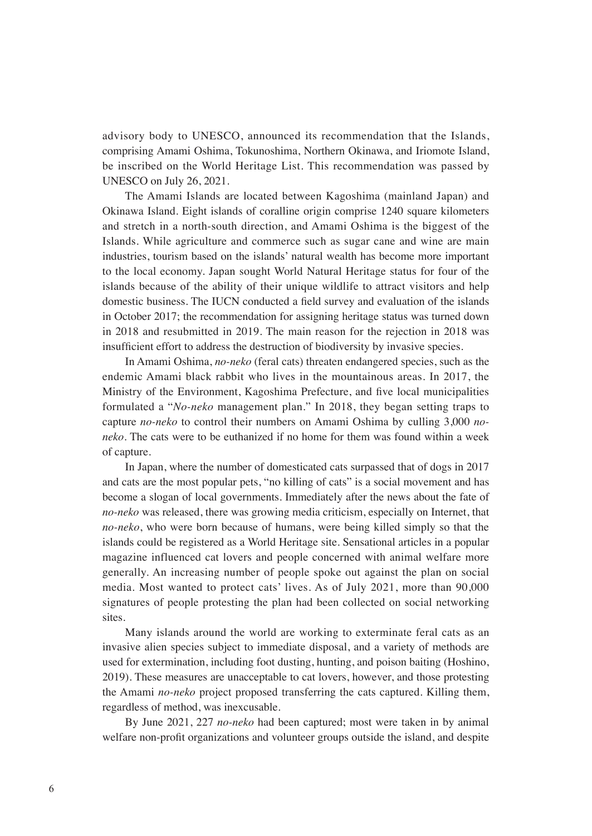advisory body to UNESCO, announced its recommendation that the Islands, comprising Amami Oshima, Tokunoshima, Northern Okinawa, and Iriomote Island, be inscribed on the World Heritage List. This recommendation was passed by UNESCO on July 26, 2021.

The Amami Islands are located between Kagoshima (mainland Japan) and Okinawa Island. Eight islands of coralline origin comprise 1240 square kilometers and stretch in a north-south direction, and Amami Oshima is the biggest of the Islands. While agriculture and commerce such as sugar cane and wine are main industries, tourism based on the islands' natural wealth has become more important to the local economy. Japan sought World Natural Heritage status for four of the islands because of the ability of their unique wildlife to attract visitors and help domestic business. The IUCN conducted a field survey and evaluation of the islands in October 2017; the recommendation for assigning heritage status was turned down in 2018 and resubmitted in 2019. The main reason for the rejection in 2018 was insufficient effort to address the destruction of biodiversity by invasive species.

In Amami Oshima, *no-neko* (feral cats) threaten endangered species, such as the endemic Amami black rabbit who lives in the mountainous areas. In 2017, the Ministry of the Environment, Kagoshima Prefecture, and five local municipalities formulated a "*No-neko* management plan." In 2018, they began setting traps to capture *no-neko* to control their numbers on Amami Oshima by culling 3,000 *noneko*. The cats were to be euthanized if no home for them was found within a week of capture.

In Japan, where the number of domesticated cats surpassed that of dogs in 2017 and cats are the most popular pets, "no killing of cats" is a social movement and has become a slogan of local governments. Immediately after the news about the fate of *no-neko* was released, there was growing media criticism, especially on Internet, that *no-neko*, who were born because of humans, were being killed simply so that the islands could be registered as a World Heritage site. Sensational articles in a popular magazine influenced cat lovers and people concerned with animal welfare more generally. An increasing number of people spoke out against the plan on social media. Most wanted to protect cats' lives. As of July 2021, more than 90,000 signatures of people protesting the plan had been collected on social networking sites.

Many islands around the world are working to exterminate feral cats as an invasive alien species subject to immediate disposal, and a variety of methods are used for extermination, including foot dusting, hunting, and poison baiting (Hoshino, 2019). These measures are unacceptable to cat lovers, however, and those protesting the Amami *no-neko* project proposed transferring the cats captured. Killing them, regardless of method, was inexcusable.

By June 2021, 227 *no-neko* had been captured; most were taken in by animal welfare non-profit organizations and volunteer groups outside the island, and despite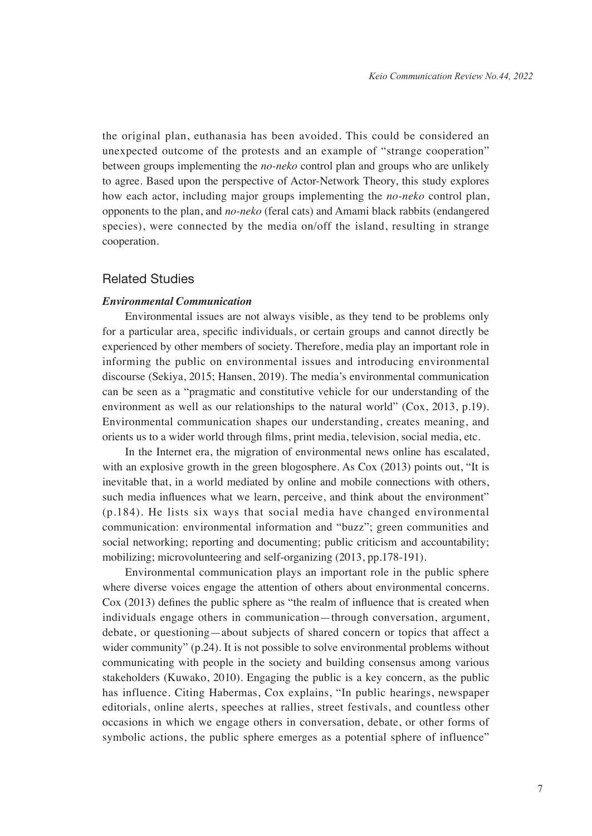the original plan, euthanasia has been avoided. This could be considered an unexpected outcome of the protests and an example of "strange cooperation" between groups implementing the *no-neko* control plan and groups who are unlikely to agree. Based upon the perspective of Actor-Network Theory, this study explores how each actor, including major groups implementing the *no-neko* control plan, opponents to the plan, and *no-neko* (feral cats) and Amami black rabbits (endangered species), were connected by the media on/off the island, resulting in strange cooperation.

## Related Studies

#### *Environmental Communication*

Environmental issues are not always visible, as they tend to be problems only for a particular area, specific individuals, or certain groups and cannot directly be experienced by other members of society. Therefore, media play an important role in informing the public on environmental issues and introducing environmental discourse (Sekiya, 2015; Hansen, 2019). The media's environmental communication can be seen as a "pragmatic and constitutive vehicle for our understanding of the environment as well as our relationships to the natural world" (Cox, 2013, p.19). Environmental communication shapes our understanding, creates meaning, and orients us to a wider world through films, print media, television, social media, etc.

In the Internet era, the migration of environmental news online has escalated, with an explosive growth in the green blogosphere. As Cox (2013) points out, "It is inevitable that, in a world mediated by online and mobile connections with others, such media influences what we learn, perceive, and think about the environment" (p.184). He lists six ways that social media have changed environmental communication: environmental information and "buzz"; green communities and social networking; reporting and documenting; public criticism and accountability; mobilizing; microvolunteering and self-organizing (2013, pp.178-191).

Environmental communication plays an important role in the public sphere where diverse voices engage the attention of others about environmental concerns. Cox (2013) defines the public sphere as "the realm of influence that is created when individuals engage others in communication—through conversation, argument, debate, or questioning—about subjects of shared concern or topics that affect a wider community" (p.24). It is not possible to solve environmental problems without communicating with people in the society and building consensus among various stakeholders (Kuwako, 2010). Engaging the public is a key concern, as the public has influence. Citing Habermas, Cox explains, "In public hearings, newspaper editorials, online alerts, speeches at rallies, street festivals, and countless other occasions in which we engage others in conversation, debate, or other forms of symbolic actions, the public sphere emerges as a potential sphere of influence"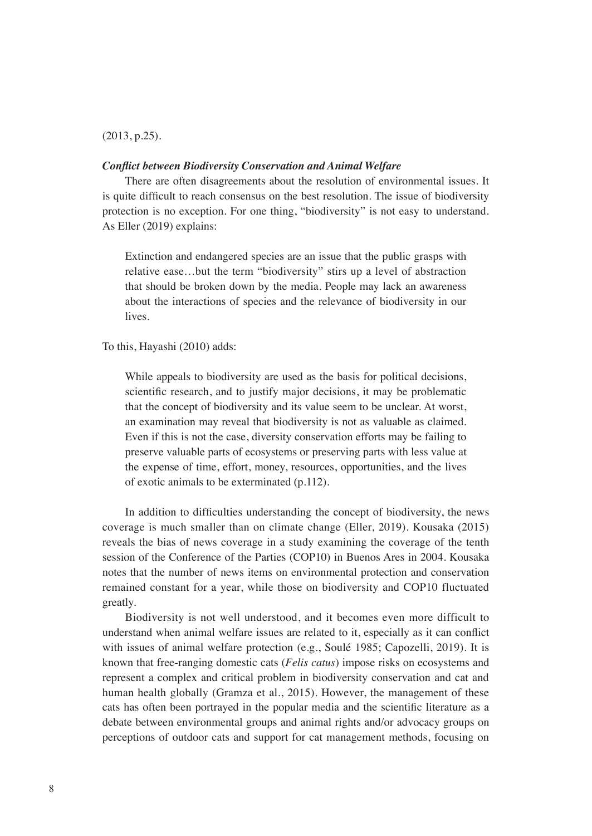#### (2013, p.25).

#### *Conflict between Biodiversity Conservation and Animal Welfare*

There are often disagreements about the resolution of environmental issues. It is quite difficult to reach consensus on the best resolution. The issue of biodiversity protection is no exception. For one thing, "biodiversity" is not easy to understand. As Eller (2019) explains:

Extinction and endangered species are an issue that the public grasps with relative ease…but the term "biodiversity" stirs up a level of abstraction that should be broken down by the media. People may lack an awareness about the interactions of species and the relevance of biodiversity in our lives.

To this, Hayashi (2010) adds:

While appeals to biodiversity are used as the basis for political decisions, scientific research, and to justify major decisions, it may be problematic that the concept of biodiversity and its value seem to be unclear. At worst, an examination may reveal that biodiversity is not as valuable as claimed. Even if this is not the case, diversity conservation efforts may be failing to preserve valuable parts of ecosystems or preserving parts with less value at the expense of time, effort, money, resources, opportunities, and the lives of exotic animals to be exterminated (p.112).

In addition to difficulties understanding the concept of biodiversity, the news coverage is much smaller than on climate change (Eller, 2019). Kousaka (2015) reveals the bias of news coverage in a study examining the coverage of the tenth session of the Conference of the Parties (COP10) in Buenos Ares in 2004. Kousaka notes that the number of news items on environmental protection and conservation remained constant for a year, while those on biodiversity and COP10 fluctuated greatly.

Biodiversity is not well understood, and it becomes even more difficult to understand when animal welfare issues are related to it, especially as it can conflict with issues of animal welfare protection (e.g., Soulé 1985; Capozelli, 2019). It is known that free-ranging domestic cats (*Felis catus*) impose risks on ecosystems and represent a complex and critical problem in biodiversity conservation and cat and human health globally (Gramza et al., 2015). However, the management of these cats has often been portrayed in the popular media and the scientific literature as a debate between environmental groups and animal rights and/or advocacy groups on perceptions of outdoor cats and support for cat management methods, focusing on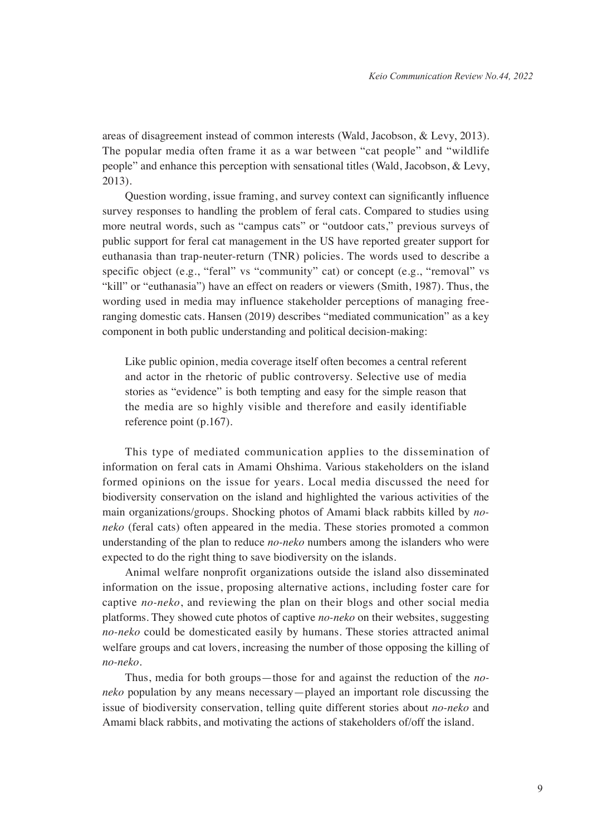areas of disagreement instead of common interests (Wald, Jacobson, & Levy, 2013). The popular media often frame it as a war between "cat people" and "wildlife people" and enhance this perception with sensational titles (Wald, Jacobson, & Levy, 2013).

Question wording, issue framing, and survey context can significantly influence survey responses to handling the problem of feral cats. Compared to studies using more neutral words, such as "campus cats" or "outdoor cats," previous surveys of public support for feral cat management in the US have reported greater support for euthanasia than trap-neuter-return (TNR) policies. The words used to describe a specific object (e.g., "feral" vs "community" cat) or concept (e.g., "removal" vs "kill" or "euthanasia") have an effect on readers or viewers (Smith, 1987). Thus, the wording used in media may influence stakeholder perceptions of managing freeranging domestic cats. Hansen (2019) describes "mediated communication" as a key component in both public understanding and political decision-making:

Like public opinion, media coverage itself often becomes a central referent and actor in the rhetoric of public controversy. Selective use of media stories as "evidence" is both tempting and easy for the simple reason that the media are so highly visible and therefore and easily identifiable reference point (p.167).

This type of mediated communication applies to the dissemination of information on feral cats in Amami Ohshima. Various stakeholders on the island formed opinions on the issue for years. Local media discussed the need for biodiversity conservation on the island and highlighted the various activities of the main organizations/groups. Shocking photos of Amami black rabbits killed by *noneko* (feral cats) often appeared in the media. These stories promoted a common understanding of the plan to reduce *no-neko* numbers among the islanders who were expected to do the right thing to save biodiversity on the islands.

Animal welfare nonprofit organizations outside the island also disseminated information on the issue, proposing alternative actions, including foster care for captive *no-neko*, and reviewing the plan on their blogs and other social media platforms. They showed cute photos of captive *no-neko* on their websites, suggesting *no-neko* could be domesticated easily by humans. These stories attracted animal welfare groups and cat lovers, increasing the number of those opposing the killing of *no-neko*.

Thus, media for both groups—those for and against the reduction of the *noneko* population by any means necessary—played an important role discussing the issue of biodiversity conservation, telling quite different stories about *no-neko* and Amami black rabbits, and motivating the actions of stakeholders of/off the island.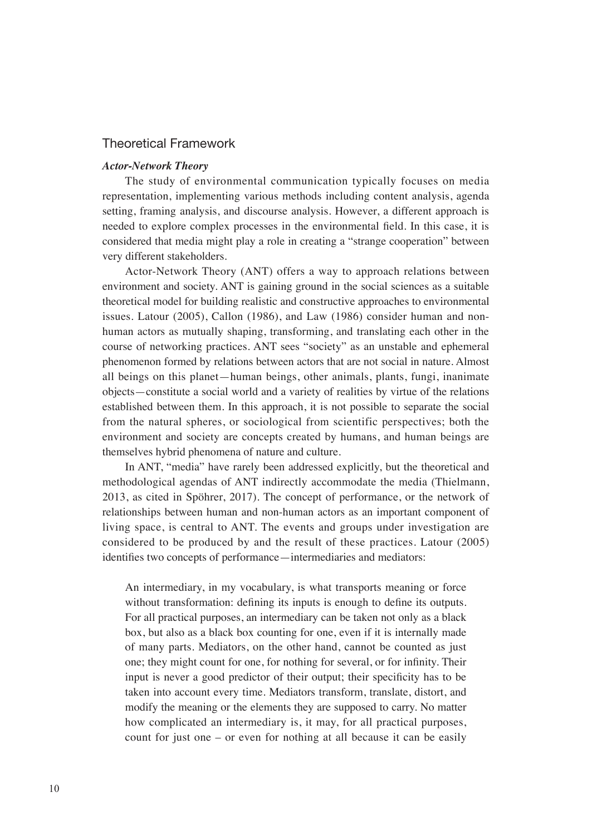## Theoretical Framework

#### *Actor-Network Theory*

The study of environmental communication typically focuses on media representation, implementing various methods including content analysis, agenda setting, framing analysis, and discourse analysis. However, a different approach is needed to explore complex processes in the environmental field. In this case, it is considered that media might play a role in creating a "strange cooperation" between very different stakeholders.

Actor-Network Theory (ANT) offers a way to approach relations between environment and society. ANT is gaining ground in the social sciences as a suitable theoretical model for building realistic and constructive approaches to environmental issues. Latour (2005), Callon (1986), and Law (1986) consider human and nonhuman actors as mutually shaping, transforming, and translating each other in the course of networking practices. ANT sees "society" as an unstable and ephemeral phenomenon formed by relations between actors that are not social in nature. Almost all beings on this planet—human beings, other animals, plants, fungi, inanimate objects—constitute a social world and a variety of realities by virtue of the relations established between them. In this approach, it is not possible to separate the social from the natural spheres, or sociological from scientific perspectives; both the environment and society are concepts created by humans, and human beings are themselves hybrid phenomena of nature and culture.

In ANT, "media" have rarely been addressed explicitly, but the theoretical and methodological agendas of ANT indirectly accommodate the media (Thielmann, 2013, as cited in Spöhrer, 2017). The concept of performance, or the network of relationships between human and non-human actors as an important component of living space, is central to ANT. The events and groups under investigation are considered to be produced by and the result of these practices. Latour (2005) identifies two concepts of performance—intermediaries and mediators:

An intermediary, in my vocabulary, is what transports meaning or force without transformation: defining its inputs is enough to define its outputs. For all practical purposes, an intermediary can be taken not only as a black box, but also as a black box counting for one, even if it is internally made of many parts. Mediators, on the other hand, cannot be counted as just one; they might count for one, for nothing for several, or for infinity. Their input is never a good predictor of their output; their specificity has to be taken into account every time. Mediators transform, translate, distort, and modify the meaning or the elements they are supposed to carry. No matter how complicated an intermediary is, it may, for all practical purposes, count for just one – or even for nothing at all because it can be easily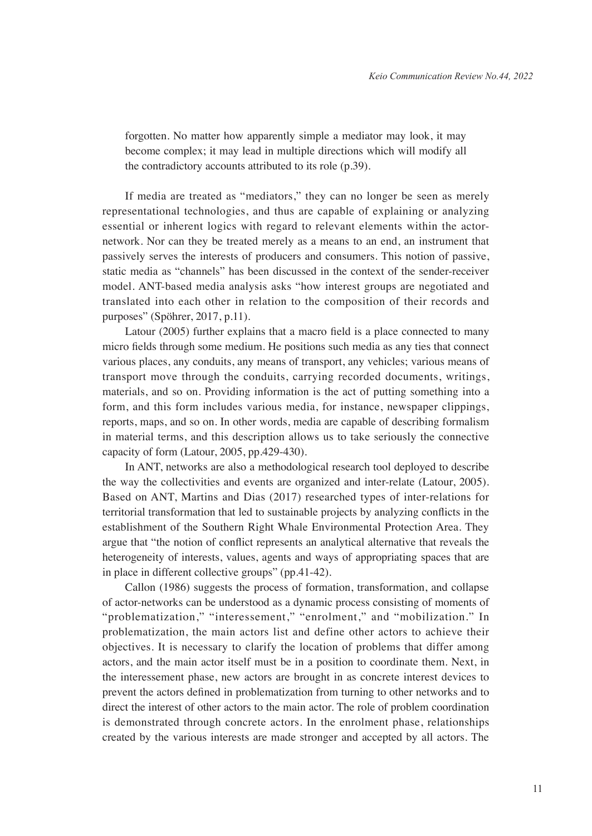forgotten. No matter how apparently simple a mediator may look, it may become complex; it may lead in multiple directions which will modify all the contradictory accounts attributed to its role (p.39).

If media are treated as "mediators," they can no longer be seen as merely representational technologies, and thus are capable of explaining or analyzing essential or inherent logics with regard to relevant elements within the actornetwork. Nor can they be treated merely as a means to an end, an instrument that passively serves the interests of producers and consumers. This notion of passive, static media as "channels" has been discussed in the context of the sender-receiver model. ANT-based media analysis asks "how interest groups are negotiated and translated into each other in relation to the composition of their records and purposes" (Spöhrer, 2017, p.11).

Latour (2005) further explains that a macro field is a place connected to many micro fields through some medium. He positions such media as any ties that connect various places, any conduits, any means of transport, any vehicles; various means of transport move through the conduits, carrying recorded documents, writings, materials, and so on. Providing information is the act of putting something into a form, and this form includes various media, for instance, newspaper clippings, reports, maps, and so on. In other words, media are capable of describing formalism in material terms, and this description allows us to take seriously the connective capacity of form (Latour, 2005, pp.429-430).

In ANT, networks are also a methodological research tool deployed to describe the way the collectivities and events are organized and inter-relate (Latour, 2005). Based on ANT, Martins and Dias (2017) researched types of inter-relations for territorial transformation that led to sustainable projects by analyzing conflicts in the establishment of the Southern Right Whale Environmental Protection Area. They argue that "the notion of conflict represents an analytical alternative that reveals the heterogeneity of interests, values, agents and ways of appropriating spaces that are in place in different collective groups" (pp.41-42).

Callon (1986) suggests the process of formation, transformation, and collapse of actor-networks can be understood as a dynamic process consisting of moments of "problematization," "interessement," "enrolment," and "mobilization." In problematization, the main actors list and define other actors to achieve their objectives. It is necessary to clarify the location of problems that differ among actors, and the main actor itself must be in a position to coordinate them. Next, in the interessement phase, new actors are brought in as concrete interest devices to prevent the actors defined in problematization from turning to other networks and to direct the interest of other actors to the main actor. The role of problem coordination is demonstrated through concrete actors. In the enrolment phase, relationships created by the various interests are made stronger and accepted by all actors. The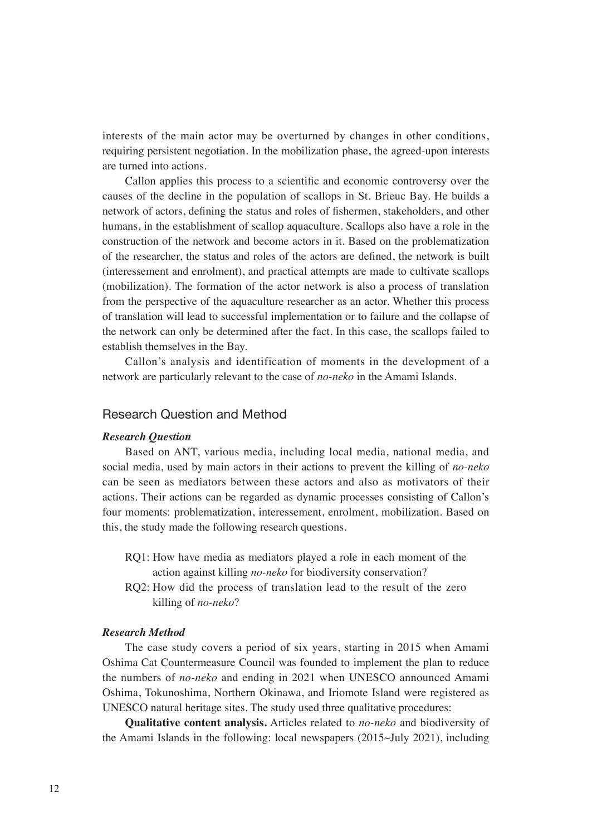interests of the main actor may be overturned by changes in other conditions, requiring persistent negotiation. In the mobilization phase, the agreed-upon interests are turned into actions.

Callon applies this process to a scientific and economic controversy over the causes of the decline in the population of scallops in St. Brieuc Bay. He builds a network of actors, defining the status and roles of fishermen, stakeholders, and other humans, in the establishment of scallop aquaculture. Scallops also have a role in the construction of the network and become actors in it. Based on the problematization of the researcher, the status and roles of the actors are defined, the network is built (interessement and enrolment), and practical attempts are made to cultivate scallops (mobilization). The formation of the actor network is also a process of translation from the perspective of the aquaculture researcher as an actor. Whether this process of translation will lead to successful implementation or to failure and the collapse of the network can only be determined after the fact. In this case, the scallops failed to establish themselves in the Bay.

Callon's analysis and identification of moments in the development of a network are particularly relevant to the case of *no-neko* in the Amami Islands.

## Research Question and Method

#### *Research Question*

Based on ANT, various media, including local media, national media, and social media, used by main actors in their actions to prevent the killing of *no-neko*  can be seen as mediators between these actors and also as motivators of their actions. Their actions can be regarded as dynamic processes consisting of Callon's four moments: problematization, interessement, enrolment, mobilization. Based on this, the study made the following research questions.

- RQ1: How have media as mediators played a role in each moment of the action against killing *no-neko* for biodiversity conservation?
- RQ2: How did the process of translation lead to the result of the zero killing of *no-neko*?

#### *Research Method*

The case study covers a period of six years, starting in 2015 when Amami Oshima Cat Countermeasure Council was founded to implement the plan to reduce the numbers of *no-neko* and ending in 2021 when UNESCO announced Amami Oshima, Tokunoshima, Northern Okinawa, and Iriomote Island were registered as UNESCO natural heritage sites. The study used three qualitative procedures:

**Qualitative content analysis.** Articles related to *no-neko* and biodiversity of the Amami Islands in the following: local newspapers (2015~July 2021), including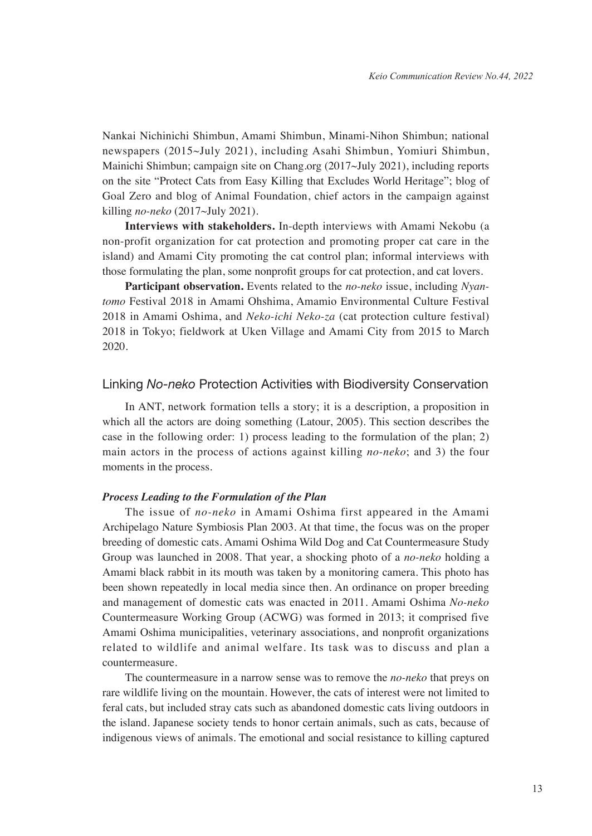Nankai Nichinichi Shimbun, Amami Shimbun, Minami-Nihon Shimbun; national newspapers (2015~July 2021), including Asahi Shimbun, Yomiuri Shimbun, Mainichi Shimbun; campaign site on Chang.org (2017~July 2021), including reports on the site "Protect Cats from Easy Killing that Excludes World Heritage"; blog of Goal Zero and blog of Animal Foundation, chief actors in the campaign against killing *no-neko* (2017~July 2021).

**Interviews with stakeholders.** In-depth interviews with Amami Nekobu (a non-profit organization for cat protection and promoting proper cat care in the island) and Amami City promoting the cat control plan; informal interviews with those formulating the plan, some nonprofit groups for cat protection, and cat lovers.

**Participant observation.** Events related to the *no-neko* issue, including *Nyantomo* Festival 2018 in Amami Ohshima, Amamio Environmental Culture Festival 2018 in Amami Oshima, and *Neko-ichi Neko-za* (cat protection culture festival) 2018 in Tokyo; fieldwork at Uken Village and Amami City from 2015 to March 2020.

#### Linking *No-neko* Protection Activities with Biodiversity Conservation

In ANT, network formation tells a story; it is a description, a proposition in which all the actors are doing something (Latour, 2005). This section describes the case in the following order: 1) process leading to the formulation of the plan; 2) main actors in the process of actions against killing *no-neko*; and 3) the four moments in the process.

## *Process Leading to the Formulation of the Plan*

The issue of *no-neko* in Amami Oshima first appeared in the Amami Archipelago Nature Symbiosis Plan 2003. At that time, the focus was on the proper breeding of domestic cats. Amami Oshima Wild Dog and Cat Countermeasure Study Group was launched in 2008. That year, a shocking photo of a *no-neko* holding a Amami black rabbit in its mouth was taken by a monitoring camera. This photo has been shown repeatedly in local media since then. An ordinance on proper breeding and management of domestic cats was enacted in 2011. Amami Oshima *No-neko*  Countermeasure Working Group (ACWG) was formed in 2013; it comprised five Amami Oshima municipalities, veterinary associations, and nonprofit organizations related to wildlife and animal welfare. Its task was to discuss and plan a countermeasure.

The countermeasure in a narrow sense was to remove the *no-neko* that preys on rare wildlife living on the mountain. However, the cats of interest were not limited to feral cats, but included stray cats such as abandoned domestic cats living outdoors in the island. Japanese society tends to honor certain animals, such as cats, because of indigenous views of animals. The emotional and social resistance to killing captured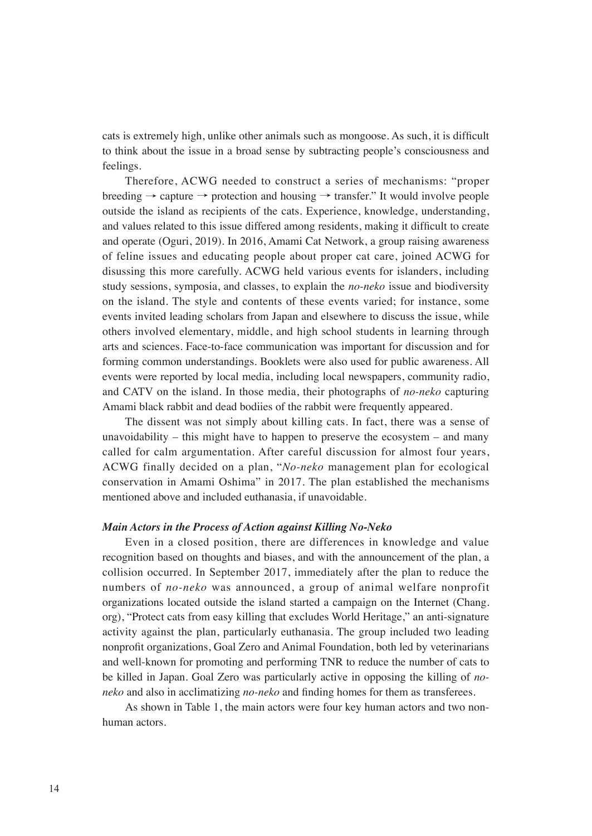cats is extremely high, unlike other animals such as mongoose. As such, it is difficult to think about the issue in a broad sense by subtracting people's consciousness and feelings.

Therefore, ACWG needed to construct a series of mechanisms: "proper breeding  $\rightarrow$  capture  $\rightarrow$  protection and housing  $\rightarrow$  transfer." It would involve people outside the island as recipients of the cats. Experience, knowledge, understanding, and values related to this issue differed among residents, making it difficult to create and operate (Oguri, 2019). In 2016, Amami Cat Network, a group raising awareness of feline issues and educating people about proper cat care, joined ACWG for disussing this more carefully. ACWG held various events for islanders, including study sessions, symposia, and classes, to explain the *no-neko* issue and biodiversity on the island. The style and contents of these events varied; for instance, some events invited leading scholars from Japan and elsewhere to discuss the issue, while others involved elementary, middle, and high school students in learning through arts and sciences. Face-to-face communication was important for discussion and for forming common understandings. Booklets were also used for public awareness. All events were reported by local media, including local newspapers, community radio, and CATV on the island. In those media, their photographs of *no-neko* capturing Amami black rabbit and dead bodiies of the rabbit were frequently appeared.

The dissent was not simply about killing cats. In fact, there was a sense of unavoidability – this might have to happen to preserve the ecosystem – and many called for calm argumentation. After careful discussion for almost four years, ACWG finally decided on a plan, "*No-neko* management plan for ecological conservation in Amami Oshima" in 2017. The plan established the mechanisms mentioned above and included euthanasia, if unavoidable.

#### *Main Actors in the Process of Action against Killing No-Neko*

Even in a closed position, there are differences in knowledge and value recognition based on thoughts and biases, and with the announcement of the plan, a collision occurred. In September 2017, immediately after the plan to reduce the numbers of *no-neko* was announced, a group of animal welfare nonprofit organizations located outside the island started a campaign on the Internet (Chang. org), "Protect cats from easy killing that excludes World Heritage," an anti-signature activity against the plan, particularly euthanasia. The group included two leading nonprofit organizations, Goal Zero and Animal Foundation, both led by veterinarians and well-known for promoting and performing TNR to reduce the number of cats to be killed in Japan. Goal Zero was particularly active in opposing the killing of *noneko* and also in acclimatizing *no-neko* and finding homes for them as transferees.

As shown in Table 1, the main actors were four key human actors and two nonhuman actors.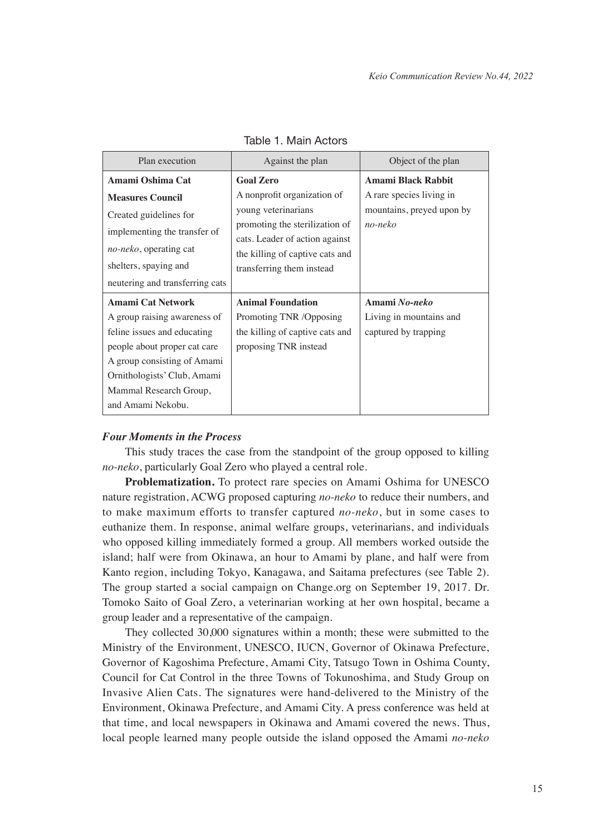| Plan execution                                                                                                                                                                                                                       | Against the plan                                                                                                                                                                       | Object of the plan                                               |
|--------------------------------------------------------------------------------------------------------------------------------------------------------------------------------------------------------------------------------------|----------------------------------------------------------------------------------------------------------------------------------------------------------------------------------------|------------------------------------------------------------------|
| Amami Oshima Cat                                                                                                                                                                                                                     | <b>Goal Zero</b>                                                                                                                                                                       | Amami Black Rabbit                                               |
| <b>Measures Council</b><br>Created guidelines for<br>implementing the transfer of<br><i>no-neko</i> , operating cat<br>shelters, spaying and<br>neutering and transferring cats                                                      | A nonprofit organization of<br>young veterinarians<br>promoting the sterilization of<br>cats. Leader of action against<br>the killing of captive cats and<br>transferring them instead | A rare species living in<br>mountains, preyed upon by<br>no-neko |
| <b>Amami Cat Network</b><br>A group raising awareness of<br>feline issues and educating<br>people about proper cat care<br>A group consisting of Amami<br>Ornithologists' Club, Amami<br>Mammal Research Group,<br>and Amami Nekobu. | <b>Animal Foundation</b><br>Promoting TNR /Opposing<br>the killing of captive cats and<br>proposing TNR instead                                                                        | Amami No-neko<br>Living in mountains and<br>captured by trapping |

## Table 1. Main Actors

#### *Four Moments in the Process*

This study traces the case from the standpoint of the group opposed to killing *no-neko*, particularly Goal Zero who played a central role.

**Problematization.** To protect rare species on Amami Oshima for UNESCO nature registration, ACWG proposed capturing *no-neko* to reduce their numbers, and to make maximum efforts to transfer captured *no-neko*, but in some cases to euthanize them. In response, animal welfare groups, veterinarians, and individuals who opposed killing immediately formed a group. All members worked outside the island; half were from Okinawa, an hour to Amami by plane, and half were from Kanto region, including Tokyo, Kanagawa, and Saitama prefectures (see Table 2). The group started a social campaign on Change.org on September 19, 2017. Dr. Tomoko Saito of Goal Zero, a veterinarian working at her own hospital, became a group leader and a representative of the campaign.

They collected 30,000 signatures within a month; these were submitted to the Ministry of the Environment, UNESCO, IUCN, Governor of Okinawa Prefecture, Governor of Kagoshima Prefecture, Amami City, Tatsugo Town in Oshima County, Council for Cat Control in the three Towns of Tokunoshima, and Study Group on Invasive Alien Cats. The signatures were hand-delivered to the Ministry of the Environment, Okinawa Prefecture, and Amami City. A press conference was held at that time, and local newspapers in Okinawa and Amami covered the news. Thus, local people learned many people outside the island opposed the Amami *no-neko*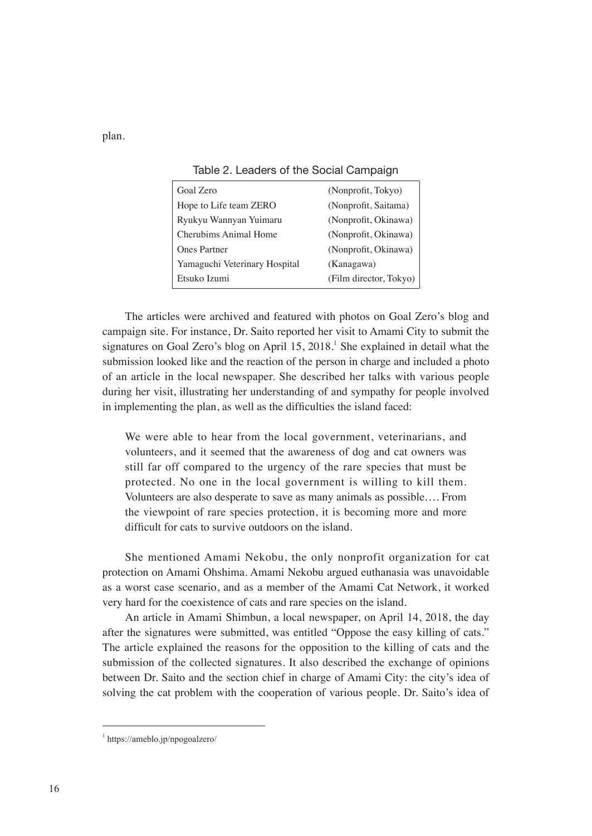plan.

| Goal Zero                     | (Nonprofit, Tokyo)     |
|-------------------------------|------------------------|
| Hope to Life team ZERO        | (Nonprofit, Saitama)   |
| Ryukyu Wannyan Yuimaru        | (Nonprofit, Okinawa)   |
| Cherubims Animal Home         | (Nonprofit, Okinawa)   |
| <b>Ones Partner</b>           | (Nonprofit, Okinawa)   |
| Yamaguchi Veterinary Hospital | (Kanagawa)             |
| Etsuko Izumi                  | (Film director, Tokyo) |

Table 2. Leaders of the Social Campaign

The articles were archived and featured with photos on Goal Zero's blog and campaign site. For instance, Dr. Saito reported her visit to Amami City to submit the signatures on Goal Zero's blog on April 15, 2018.<sup>1</sup> She explained in detail what the submission looked like and the reaction of the person in charge and included a photo of an article in the local newspaper. She described her talks with various people during her visit, illustrating her understanding of and sympathy for people involved in implementing the plan, as well as the difficulties the island faced:

We were able to hear from the local government, veterinarians, and volunteers, and it seemed that the awareness of dog and cat owners was still far off compared to the urgency of the rare species that must be protected. No one in the local government is willing to kill them. Volunteers are also desperate to save as many animals as possible…. From the viewpoint of rare species protection, it is becoming more and more difficult for cats to survive outdoors on the island.

She mentioned Amami Nekobu, the only nonprofit organization for cat protection on Amami Ohshima. Amami Nekobu argued euthanasia was unavoidable as a worst case scenario, and as a member of the Amami Cat Network, it worked very hard for the coexistence of cats and rare species on the island.

An article in Amami Shimbun, a local newspaper, on April 14, 2018, the day after the signatures were submitted, was entitled "Oppose the easy killing of cats." The article explained the reasons for the opposition to the killing of cats and the submission of the collected signatures. It also described the exchange of opinions between Dr. Saito and the section chief in charge of Amami City: the city's idea of solving the cat problem with the cooperation of various people. Dr. Saito's idea of

<sup>1</sup> https://ameblo.jp/npogoalzero/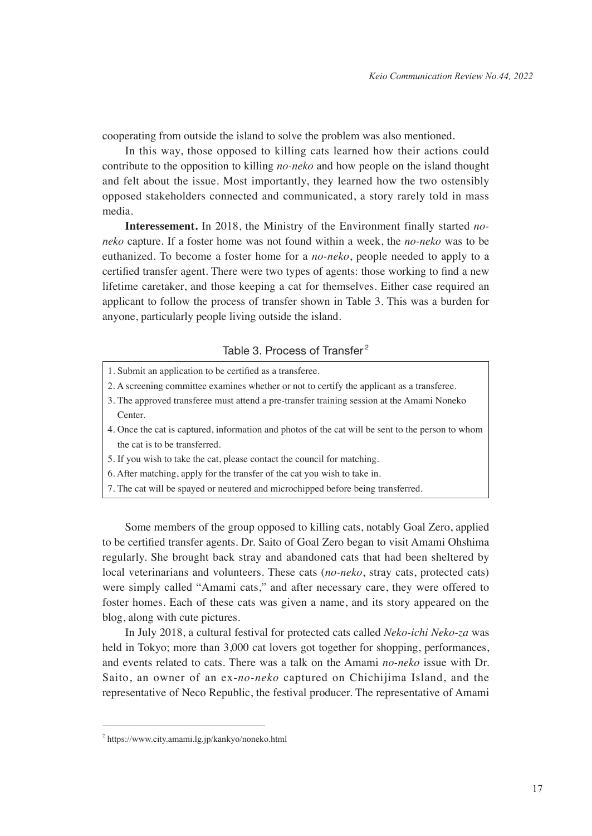cooperating from outside the island to solve the problem was also mentioned.

In this way, those opposed to killing cats learned how their actions could contribute to the opposition to killing *no-neko* and how people on the island thought and felt about the issue. Most importantly, they learned how the two ostensibly opposed stakeholders connected and communicated, a story rarely told in mass media.

**Interessement.** In 2018, the Ministry of the Environment finally started *noneko* capture. If a foster home was not found within a week, the *no-neko* was to be euthanized. To become a foster home for a *no-neko*, people needed to apply to a certified transfer agent. There were two types of agents: those working to find a new lifetime caretaker, and those keeping a cat for themselves. Either case required an applicant to follow the process of transfer shown in Table 3. This was a burden for anyone, particularly people living outside the island.

## Table 3. Process of Transfer<sup>2</sup>

- 1. Submit an application to be certified as a transferee.
- 2. A screening committee examines whether or not to certify the applicant as a transferee.
- 3. The approved transferee must attend a pre-transfer training session at the Amami Noneko Center.
- 4. Once the cat is captured, information and photos of the cat will be sent to the person to whom the cat is to be transferred.
- 5. If you wish to take the cat, please contact the council for matching.
- 6. After matching, apply for the transfer of the cat you wish to take in.
- 7. The cat will be spayed or neutered and microchipped before being transferred.

Some members of the group opposed to killing cats, notably Goal Zero, applied to be certified transfer agents. Dr. Saito of Goal Zero began to visit Amami Ohshima regularly. She brought back stray and abandoned cats that had been sheltered by local veterinarians and volunteers. These cats (*no-neko*, stray cats, protected cats) were simply called "Amami cats," and after necessary care, they were offered to foster homes. Each of these cats was given a name, and its story appeared on the blog, along with cute pictures.

In July 2018, a cultural festival for protected cats called *Neko-ichi Neko-za* was held in Tokyo; more than 3,000 cat lovers got together for shopping, performances, and events related to cats. There was a talk on the Amami *no-neko* issue with Dr. Saito, an owner of an ex-*no-neko* captured on Chichijima Island, and the representative of Neco Republic, the festival producer. The representative of Amami

<sup>2</sup> https://www.city.amami.lg.jp/kankyo/noneko.html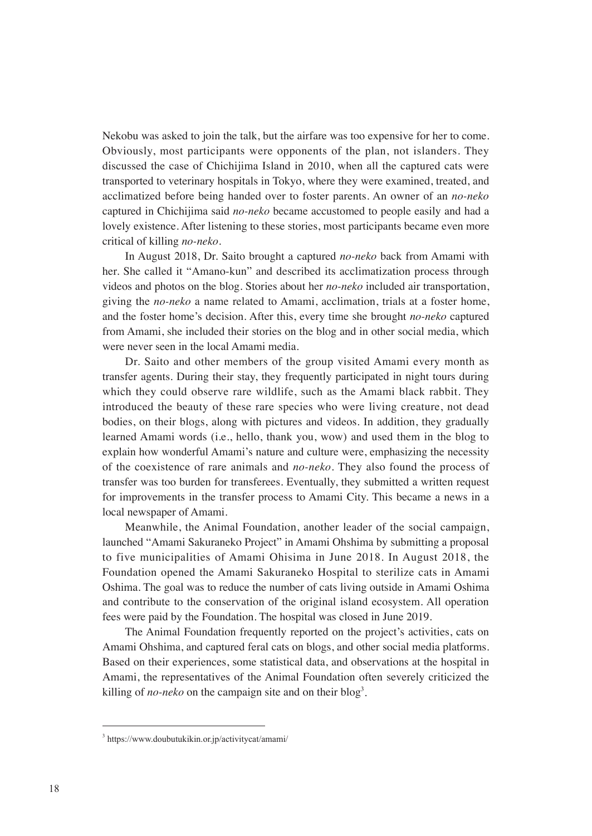Nekobu was asked to join the talk, but the airfare was too expensive for her to come. Obviously, most participants were opponents of the plan, not islanders. They discussed the case of Chichijima Island in 2010, when all the captured cats were transported to veterinary hospitals in Tokyo, where they were examined, treated, and acclimatized before being handed over to foster parents. An owner of an *no-neko* captured in Chichijima said *no-neko* became accustomed to people easily and had a lovely existence. After listening to these stories, most participants became even more critical of killing *no-neko*.

In August 2018, Dr. Saito brought a captured *no-neko* back from Amami with her. She called it "Amano-kun" and described its acclimatization process through videos and photos on the blog. Stories about her *no-neko* included air transportation, giving the *no-neko* a name related to Amami, acclimation, trials at a foster home, and the foster home's decision. After this, every time she brought *no-neko* captured from Amami, she included their stories on the blog and in other social media, which were never seen in the local Amami media.

Dr. Saito and other members of the group visited Amami every month as transfer agents. During their stay, they frequently participated in night tours during which they could observe rare wildlife, such as the Amami black rabbit. They introduced the beauty of these rare species who were living creature, not dead bodies, on their blogs, along with pictures and videos. In addition, they gradually learned Amami words (i.e., hello, thank you, wow) and used them in the blog to explain how wonderful Amami's nature and culture were, emphasizing the necessity of the coexistence of rare animals and *no-neko*. They also found the process of transfer was too burden for transferees. Eventually, they submitted a written request for improvements in the transfer process to Amami City. This became a news in a local newspaper of Amami.

Meanwhile, the Animal Foundation, another leader of the social campaign, launched "Amami Sakuraneko Project" in Amami Ohshima by submitting a proposal to five municipalities of Amami Ohisima in June 2018. In August 2018, the Foundation opened the Amami Sakuraneko Hospital to sterilize cats in Amami Oshima. The goal was to reduce the number of cats living outside in Amami Oshima and contribute to the conservation of the original island ecosystem. All operation fees were paid by the Foundation. The hospital was closed in June 2019.

The Animal Foundation frequently reported on the project's activities, cats on Amami Ohshima, and captured feral cats on blogs, and other social media platforms. Based on their experiences, some statistical data, and observations at the hospital in Amami, the representatives of the Animal Foundation often severely criticized the killing of *no-neko* on the campaign site and on their blog<sup>3</sup>.

<sup>3</sup> https://www.doubutukikin.or.jp/activitycat/amami/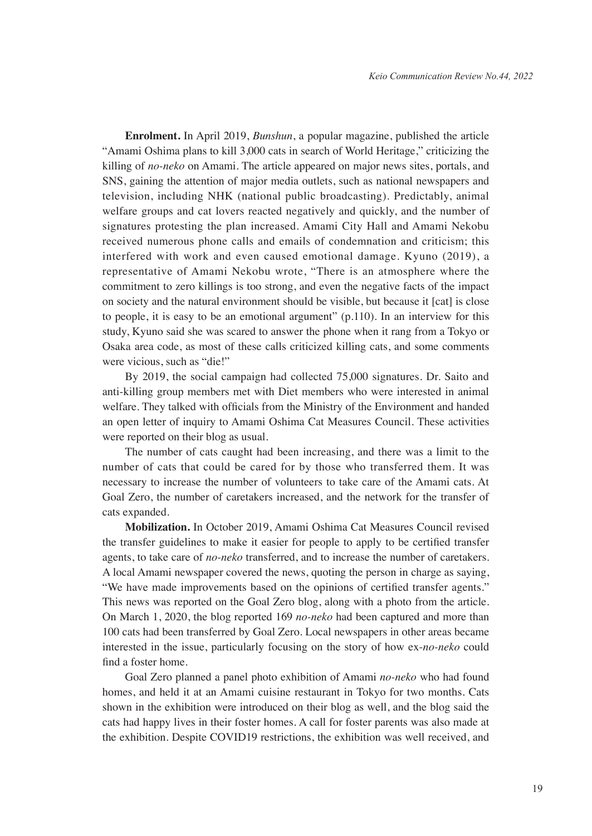**Enrolment.** In April 2019, *Bunshun*, a popular magazine, published the article "Amami Oshima plans to kill 3,000 cats in search of World Heritage," criticizing the killing of *no-neko* on Amami. The article appeared on major news sites, portals, and SNS, gaining the attention of major media outlets, such as national newspapers and television, including NHK (national public broadcasting). Predictably, animal welfare groups and cat lovers reacted negatively and quickly, and the number of signatures protesting the plan increased. Amami City Hall and Amami Nekobu received numerous phone calls and emails of condemnation and criticism; this interfered with work and even caused emotional damage. Kyuno (2019), a representative of Amami Nekobu wrote, "There is an atmosphere where the commitment to zero killings is too strong, and even the negative facts of the impact on society and the natural environment should be visible, but because it [cat] is close to people, it is easy to be an emotional argument" (p.110). In an interview for this study, Kyuno said she was scared to answer the phone when it rang from a Tokyo or Osaka area code, as most of these calls criticized killing cats, and some comments were vicious, such as "die!"

By 2019, the social campaign had collected 75,000 signatures. Dr. Saito and anti-killing group members met with Diet members who were interested in animal welfare. They talked with officials from the Ministry of the Environment and handed an open letter of inquiry to Amami Oshima Cat Measures Council. These activities were reported on their blog as usual.

The number of cats caught had been increasing, and there was a limit to the number of cats that could be cared for by those who transferred them. It was necessary to increase the number of volunteers to take care of the Amami cats. At Goal Zero, the number of caretakers increased, and the network for the transfer of cats expanded.

**Mobilization.** In October 2019, Amami Oshima Cat Measures Council revised the transfer guidelines to make it easier for people to apply to be certified transfer agents, to take care of *no-neko* transferred, and to increase the number of caretakers. A local Amami newspaper covered the news, quoting the person in charge as saying, "We have made improvements based on the opinions of certified transfer agents." This news was reported on the Goal Zero blog, along with a photo from the article. On March 1, 2020, the blog reported 169 *no-neko* had been captured and more than 100 cats had been transferred by Goal Zero. Local newspapers in other areas became interested in the issue, particularly focusing on the story of how ex-*no-neko* could find a foster home.

Goal Zero planned a panel photo exhibition of Amami *no-neko* who had found homes, and held it at an Amami cuisine restaurant in Tokyo for two months. Cats shown in the exhibition were introduced on their blog as well, and the blog said the cats had happy lives in their foster homes. A call for foster parents was also made at the exhibition. Despite COVID19 restrictions, the exhibition was well received, and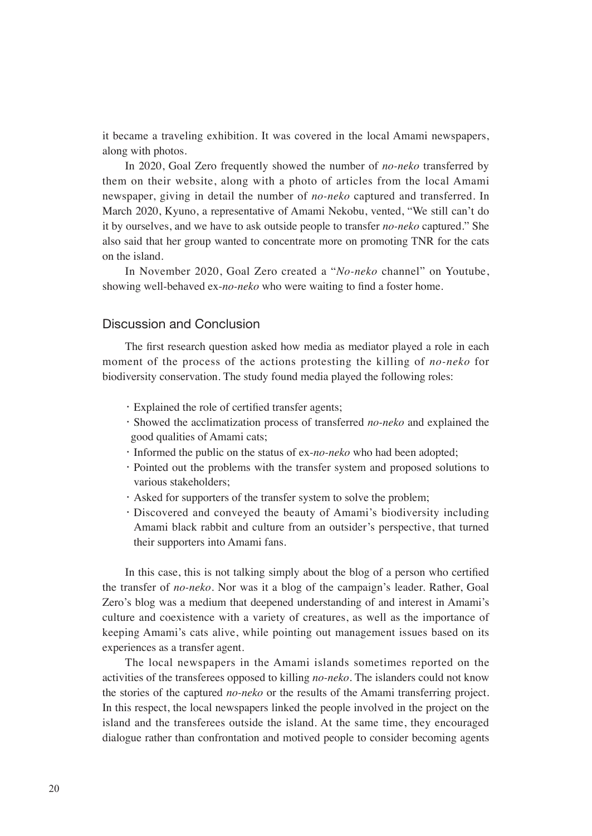it became a traveling exhibition. It was covered in the local Amami newspapers, along with photos.

In 2020, Goal Zero frequently showed the number of *no-neko* transferred by them on their website, along with a photo of articles from the local Amami newspaper, giving in detail the number of *no-neko* captured and transferred. In March 2020, Kyuno, a representative of Amami Nekobu, vented, "We still can't do it by ourselves, and we have to ask outside people to transfer *no-neko* captured." She also said that her group wanted to concentrate more on promoting TNR for the cats on the island.

In November 2020, Goal Zero created a "*No-neko* channel" on Youtube, showing well-behaved ex-*no-neko* who were waiting to find a foster home.

## Discussion and Conclusion

The first research question asked how media as mediator played a role in each moment of the process of the actions protesting the killing of *no-neko* for biodiversity conservation. The study found media played the following roles:

- ・Explained the role of certified transfer agents;
- ・Showed the acclimatization process of transferred *no-neko* and explained the good qualities of Amami cats;
- ・Informed the public on the status of ex-*no-neko* who had been adopted;
- ・Pointed out the problems with the transfer system and proposed solutions to various stakeholders;
- ・Asked for supporters of the transfer system to solve the problem;
- ・Discovered and conveyed the beauty of Amami's biodiversity including Amami black rabbit and culture from an outsider's perspective, that turned their supporters into Amami fans.

In this case, this is not talking simply about the blog of a person who certified the transfer of *no-neko*. Nor was it a blog of the campaign's leader. Rather, Goal Zero's blog was a medium that deepened understanding of and interest in Amami's culture and coexistence with a variety of creatures, as well as the importance of keeping Amami's cats alive, while pointing out management issues based on its experiences as a transfer agent.

The local newspapers in the Amami islands sometimes reported on the activities of the transferees opposed to killing *no-neko*. The islanders could not know the stories of the captured *no-neko* or the results of the Amami transferring project. In this respect, the local newspapers linked the people involved in the project on the island and the transferees outside the island. At the same time, they encouraged dialogue rather than confrontation and motived people to consider becoming agents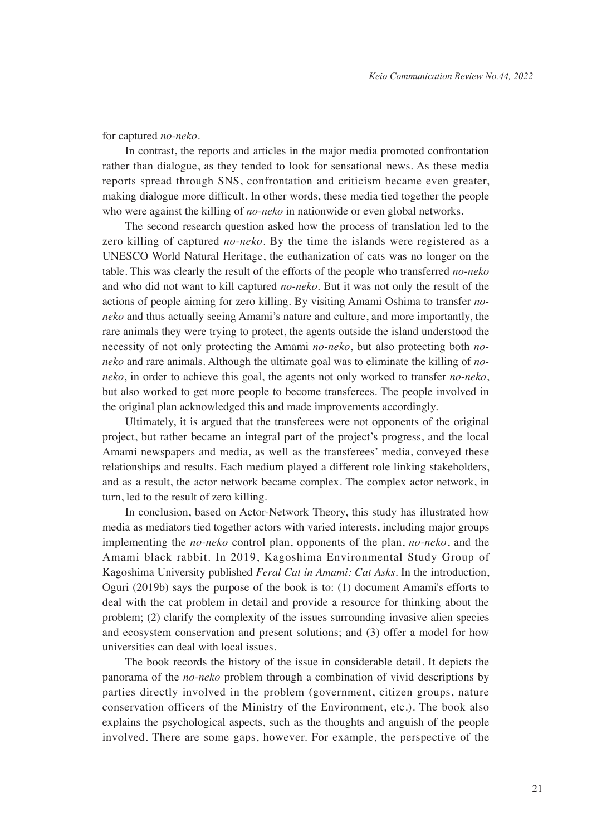#### for captured *no-neko*.

In contrast, the reports and articles in the major media promoted confrontation rather than dialogue, as they tended to look for sensational news. As these media reports spread through SNS, confrontation and criticism became even greater, making dialogue more difficult. In other words, these media tied together the people who were against the killing of *no-neko* in nationwide or even global networks.

The second research question asked how the process of translation led to the zero killing of captured *no-neko*. By the time the islands were registered as a UNESCO World Natural Heritage, the euthanization of cats was no longer on the table. This was clearly the result of the efforts of the people who transferred *no-neko* and who did not want to kill captured *no-neko*. But it was not only the result of the actions of people aiming for zero killing. By visiting Amami Oshima to transfer *noneko* and thus actually seeing Amami's nature and culture, and more importantly, the rare animals they were trying to protect, the agents outside the island understood the necessity of not only protecting the Amami *no-neko*, but also protecting both *noneko* and rare animals. Although the ultimate goal was to eliminate the killing of *noneko*, in order to achieve this goal, the agents not only worked to transfer *no-neko*, but also worked to get more people to become transferees. The people involved in the original plan acknowledged this and made improvements accordingly.

Ultimately, it is argued that the transferees were not opponents of the original project, but rather became an integral part of the project's progress, and the local Amami newspapers and media, as well as the transferees' media, conveyed these relationships and results. Each medium played a different role linking stakeholders, and as a result, the actor network became complex. The complex actor network, in turn, led to the result of zero killing.

In conclusion, based on Actor-Network Theory, this study has illustrated how media as mediators tied together actors with varied interests, including major groups implementing the *no-neko* control plan, opponents of the plan, *no-neko*, and the Amami black rabbit. In 2019, Kagoshima Environmental Study Group of Kagoshima University published *Feral Cat in Amami: Cat Asks*. In the introduction, Oguri (2019b) says the purpose of the book is to: (1) document Amami's efforts to deal with the cat problem in detail and provide a resource for thinking about the problem; (2) clarify the complexity of the issues surrounding invasive alien species and ecosystem conservation and present solutions; and (3) offer a model for how universities can deal with local issues.

The book records the history of the issue in considerable detail. It depicts the panorama of the *no-neko* problem through a combination of vivid descriptions by parties directly involved in the problem (government, citizen groups, nature conservation officers of the Ministry of the Environment, etc.). The book also explains the psychological aspects, such as the thoughts and anguish of the people involved. There are some gaps, however. For example, the perspective of the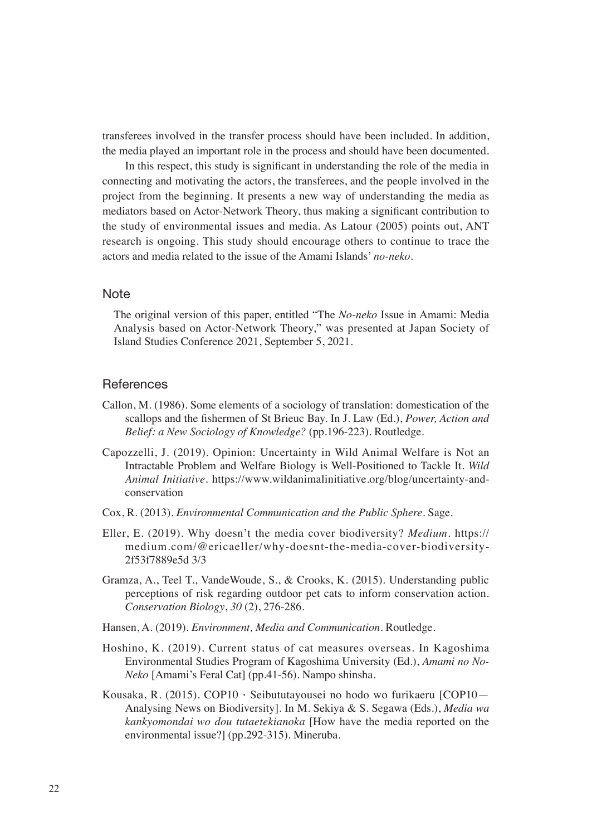transferees involved in the transfer process should have been included. In addition, the media played an important role in the process and should have been documented.

In this respect, this study is significant in understanding the role of the media in connecting and motivating the actors, the transferees, and the people involved in the project from the beginning. It presents a new way of understanding the media as mediators based on Actor-Network Theory, thus making a significant contribution to the study of environmental issues and media. As Latour (2005) points out, ANT research is ongoing. This study should encourage others to continue to trace the actors and media related to the issue of the Amami Islands' *no-neko*.

## **Note**

The original version of this paper, entitled "The *No-neko* Issue in Amami: Media Analysis based on Actor-Network Theory," was presented at Japan Society of Island Studies Conference 2021, September 5, 2021.

## **References**

- Callon, M. (1986). Some elements of a sociology of translation: domestication of the scallops and the fishermen of St Brieuc Bay. In J. Law (Ed.), *Power, Action and Belief: a New Sociology of Knowledge?* (pp.196-223). Routledge.
- Capozzelli, J. (2019). Opinion: Uncertainty in Wild Animal Welfare is Not an Intractable Problem and Welfare Biology is Well-Positioned to Tackle It. *Wild Animal Initiative*. https://www.wildanimalinitiative.org/blog/uncertainty-andconservation
- Cox, R. (2013). *Environmental Communication and the Public Sphere*. Sage.
- Eller, E. (2019). Why doesn't the media cover biodiversity? *Medium*. https:// medium.com/@ericaeller/why-doesnt-the-media-cover-biodiversity-2f53f7889e5d 3/3
- Gramza, A., Teel T., VandeWoude, S., & Crooks, K. (2015). Understanding public perceptions of risk regarding outdoor pet cats to inform conservation action. *Conservation Biology*, *30* (2), 276-286.
- Hansen, A. (2019). *Environment, Media and Communication*. Routledge.
- Hoshino, K. (2019). Current status of cat measures overseas. In Kagoshima Environmental Studies Program of Kagoshima University (Ed.), *Amami no No-Neko* [Amami's Feral Cat] (pp.41-56). Nampo shinsha.
- Kousaka, R. (2015). COP10・Seibututayousei no hodo wo furikaeru [COP10— Analysing News on Biodiversity]. In M. Sekiya & S. Segawa (Eds.), *Media wa kankyomondai wo dou tutaetekianoka* [How have the media reported on the environmental issue?] (pp.292-315). Mineruba.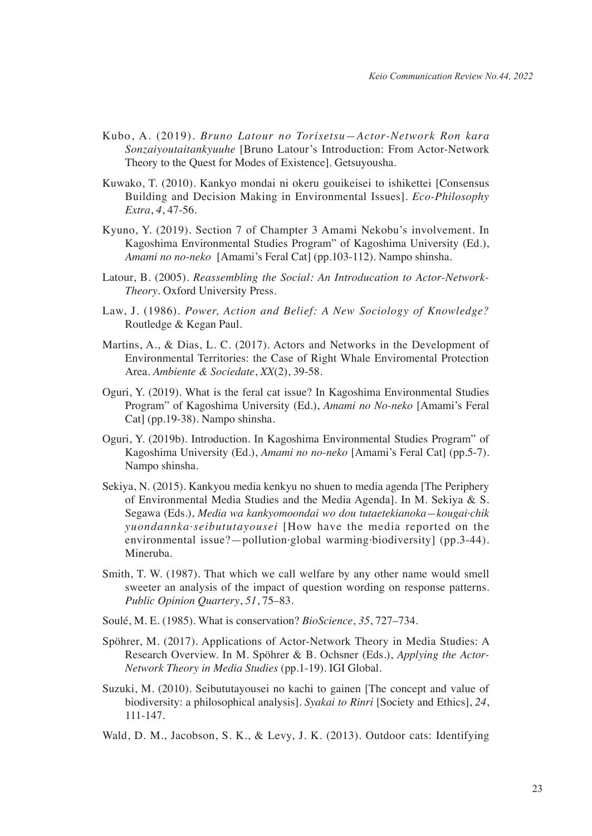- Kubo, A. (2019). *Bruno Latour no Torisetsu—Actor-Network Ron kara Sonzaiyoutaitankyuuhe* [Bruno Latour's Introduction: From Actor-Network Theory to the Quest for Modes of Existence]. Getsuyousha.
- Kuwako, T. (2010). Kankyo mondai ni okeru gouikeisei to ishikettei [Consensus Building and Decision Making in Environmental Issues]. *Eco-Philosophy Extra*, *4*, 47-56.
- Kyuno, Y. (2019). Section 7 of Champter 3 Amami Nekobu's involvement. In Kagoshima Environmental Studies Program" of Kagoshima University (Ed.), *Amami no no-neko* [Amami's Feral Cat] (pp.103-112). Nampo shinsha.
- Latour, B. (2005). *Reassembling the Social: An Introducation to Actor-Network-Theory*. Oxford University Press.
- Law, J. (1986). *Power, Action and Belief: A New Sociology of Knowledge?* Routledge & Kegan Paul.
- Martins, A., & Dias, L. C. (2017). Actors and Networks in the Development of Environmental Territories: the Case of Right Whale Enviromental Protection Area. *Ambiente & Sociedate*, *XX*(2), 39-58.
- Oguri, Y. (2019). What is the feral cat issue? In Kagoshima Environmental Studies Program" of Kagoshima University (Ed.), *Amami no No-neko* [Amami's Feral Cat] (pp.19-38). Nampo shinsha.
- Oguri, Y. (2019b). Introduction. In Kagoshima Environmental Studies Program" of Kagoshima University (Ed.), *Amami no no-neko* [Amami's Feral Cat] (pp.5-7). Nampo shinsha.
- Sekiya, N. (2015). Kankyou media kenkyu no shuen to media agenda [The Periphery of Environmental Media Studies and the Media Agenda]. In M. Sekiya & S. Segawa (Eds.), *Media wa kankyomoondai wo dou tutaetekianoka—kougai·chik yuondannka·seibututayousei* [How have the media reported on the environmental issue?—pollution*·*global warming*·*biodiversity] (pp.3-44). Mineruba.
- Smith, T. W. (1987). That which we call welfare by any other name would smell sweeter an analysis of the impact of question wording on response patterns. *Public Opinion Quartery*, *51*, 75–83.
- Soulé, M. E. (1985). What is conservation? *BioScience*, *35*, 727–734.
- Spöhrer, M. (2017). Applications of Actor-Network Theory in Media Studies: A Research Overview. In M. Spöhrer & B. Ochsner (Eds.), *Applying the Actor-Network Theory in Media Studies* (pp.1-19). IGI Global.
- Suzuki, M. (2010). Seibututayousei no kachi to gainen [The concept and value of biodiversity: a philosophical analysis]. *Syakai to Rinri* [Society and Ethics], *24*, 111-147.
- Wald, D. M., Jacobson, S. K., & Levy, J. K. (2013). Outdoor cats: Identifying